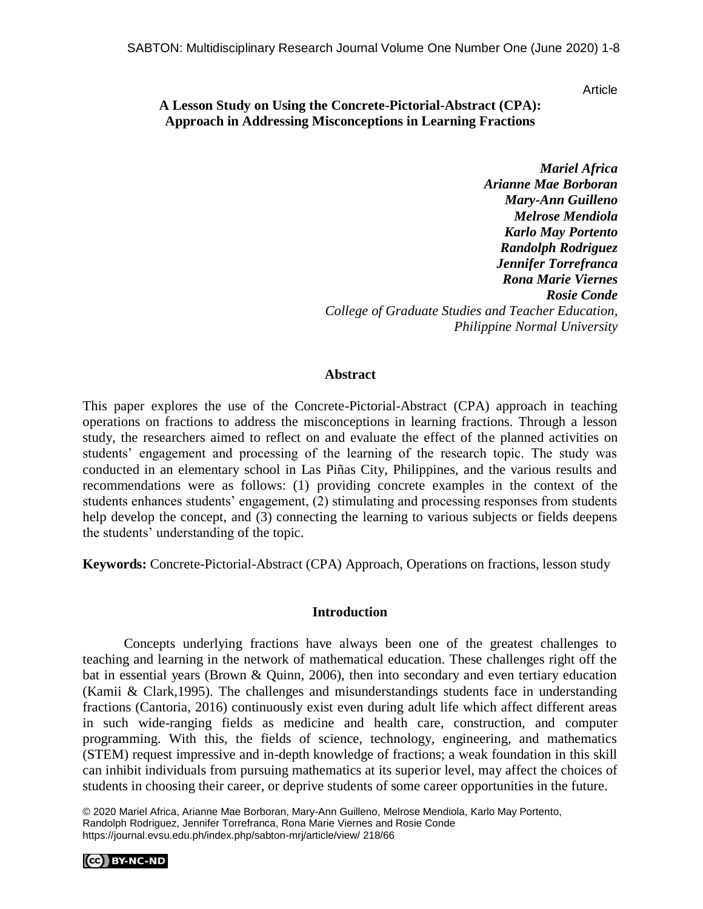Article

# **A Lesson Study on Using the Concrete-Pictorial-Abstract (CPA): Approach in Addressing Misconceptions in Learning Fractions**

*Mariel Africa Arianne Mae Borboran Mary-Ann Guilleno Melrose Mendiola Karlo May Portento Randolph Rodriguez Jennifer Torrefranca Rona Marie Viernes Rosie Conde College of Graduate Studies and Teacher Education, Philippine Normal University*

#### **Abstract**

This paper explores the use of the Concrete-Pictorial-Abstract (CPA) approach in teaching operations on fractions to address the misconceptions in learning fractions. Through a lesson study, the researchers aimed to reflect on and evaluate the effect of the planned activities on students' engagement and processing of the learning of the research topic. The study was conducted in an elementary school in Las Piñas City, Philippines, and the various results and recommendations were as follows: (1) providing concrete examples in the context of the students enhances students' engagement, (2) stimulating and processing responses from students help develop the concept, and (3) connecting the learning to various subjects or fields deepens the students' understanding of the topic.

**Keywords:** Concrete-Pictorial-Abstract (CPA) Approach, Operations on fractions, lesson study

## **Introduction**

Concepts underlying fractions have always been one of the greatest challenges to teaching and learning in the network of mathematical education. These challenges right off the bat in essential years (Brown & Quinn, 2006), then into secondary and even tertiary education (Kamii & Clark,1995). The challenges and misunderstandings students face in understanding fractions (Cantoria, 2016) continuously exist even during adult life which affect different areas in such wide-ranging fields as medicine and health care, construction, and computer programming. With this, the fields of science, technology, engineering, and mathematics (STEM) request impressive and in-depth knowledge of fractions; a weak foundation in this skill can inhibit individuals from pursuing mathematics at its superior level, may affect the choices of students in choosing their career, or deprive students of some career opportunities in the future.

© 2020 Mariel Africa, Arianne Mae Borboran, Mary-Ann Guilleno, Melrose Mendiola, Karlo May Portento, Randolph Rodriguez, Jennifer Torrefranca, Rona Marie Viernes and Rosie Conde https://journal.evsu.edu.ph/index.php/sabton-mrj/article/view/ 218/66

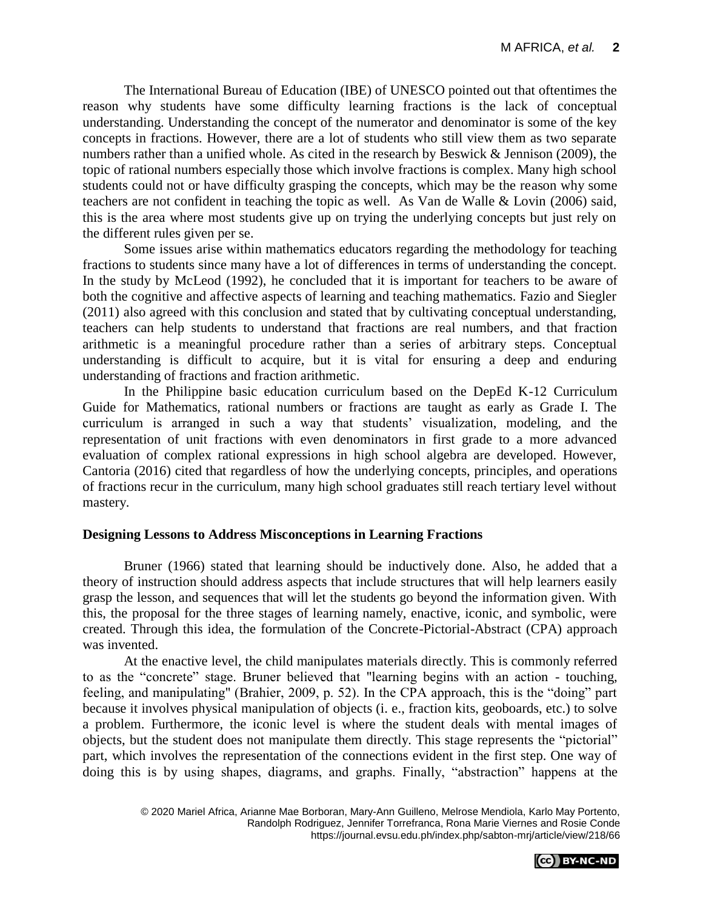The International Bureau of Education (IBE) of UNESCO pointed out that oftentimes the reason why students have some difficulty learning fractions is the lack of conceptual understanding. Understanding the concept of the numerator and denominator is some of the key concepts in fractions. However, there are a lot of students who still view them as two separate numbers rather than a unified whole. As cited in the research by Beswick & Jennison (2009), the topic of rational numbers especially those which involve fractions is complex. Many high school students could not or have difficulty grasping the concepts, which may be the reason why some teachers are not confident in teaching the topic as well. As Van de Walle & Lovin (2006) said, this is the area where most students give up on trying the underlying concepts but just rely on the different rules given per se.

Some issues arise within mathematics educators regarding the methodology for teaching fractions to students since many have a lot of differences in terms of understanding the concept. In the study by McLeod (1992), he concluded that it is important for teachers to be aware of both the cognitive and affective aspects of learning and teaching mathematics. Fazio and Siegler (2011) also agreed with this conclusion and stated that by cultivating conceptual understanding, teachers can help students to understand that fractions are real numbers, and that fraction arithmetic is a meaningful procedure rather than a series of arbitrary steps. Conceptual understanding is difficult to acquire, but it is vital for ensuring a deep and enduring understanding of fractions and fraction arithmetic.

In the Philippine basic education curriculum based on the DepEd K-12 Curriculum Guide for Mathematics, rational numbers or fractions are taught as early as Grade I. The curriculum is arranged in such a way that students' visualization, modeling, and the representation of unit fractions with even denominators in first grade to a more advanced evaluation of complex rational expressions in high school algebra are developed. However, Cantoria (2016) cited that regardless of how the underlying concepts, principles, and operations of fractions recur in the curriculum, many high school graduates still reach tertiary level without mastery.

## **Designing Lessons to Address Misconceptions in Learning Fractions**

Bruner (1966) stated that learning should be inductively done. Also, he added that a theory of instruction should address aspects that include structures that will help learners easily grasp the lesson, and sequences that will let the students go beyond the information given. With this, the proposal for the three stages of learning namely, enactive, iconic, and symbolic, were created. Through this idea, the formulation of the Concrete-Pictorial-Abstract (CPA) approach was invented.

At the enactive level, the child manipulates materials directly. This is commonly referred to as the "concrete" stage. Bruner believed that "learning begins with an action - touching, feeling, and manipulating" (Brahier, 2009, p. 52). In the CPA approach, this is the "doing" part because it involves physical manipulation of objects (i. e., fraction kits, geoboards, etc.) to solve a problem. Furthermore, the iconic level is where the student deals with mental images of objects, but the student does not manipulate them directly. This stage represents the "pictorial" part, which involves the representation of the connections evident in the first step. One way of doing this is by using shapes, diagrams, and graphs. Finally, "abstraction" happens at the

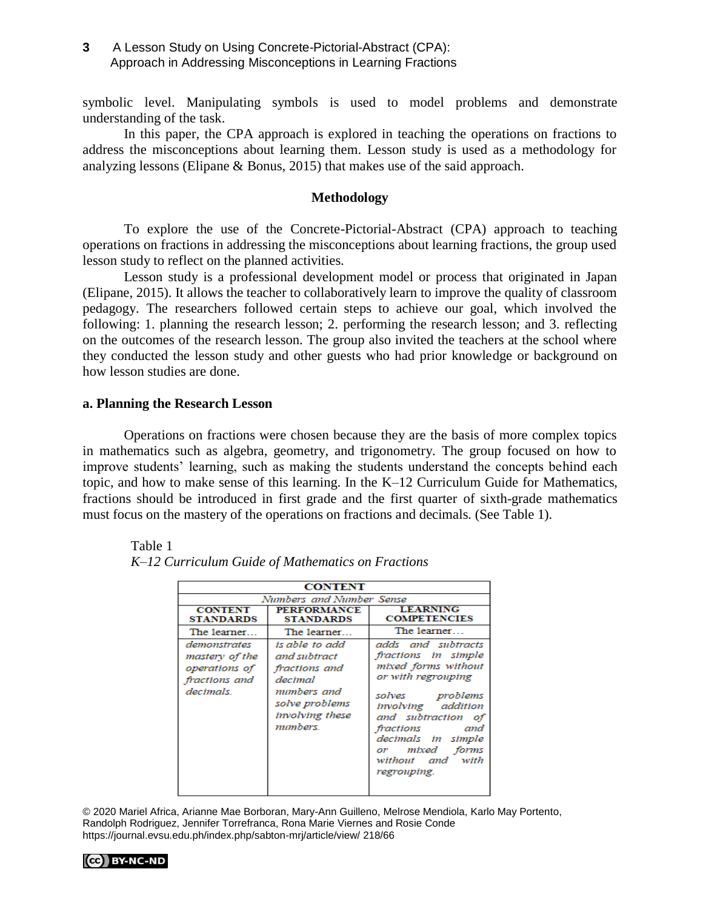## **3** A Lesson Study on Using Concrete-Pictorial-Abstract (CPA): Approach in Addressing Misconceptions in Learning Fractions

symbolic level. Manipulating symbols is used to model problems and demonstrate understanding of the task.

In this paper, the CPA approach is explored in teaching the operations on fractions to address the misconceptions about learning them. Lesson study is used as a methodology for analyzing lessons (Elipane & Bonus, 2015) that makes use of the said approach.

## **Methodology**

To explore the use of the Concrete-Pictorial-Abstract (CPA) approach to teaching operations on fractions in addressing the misconceptions about learning fractions, the group used lesson study to reflect on the planned activities.

Lesson study is a professional development model or process that originated in Japan (Elipane, 2015). It allows the teacher to collaboratively learn to improve the quality of classroom pedagogy. The researchers followed certain steps to achieve our goal, which involved the following: 1. planning the research lesson; 2. performing the research lesson; and 3. reflecting on the outcomes of the research lesson. The group also invited the teachers at the school where they conducted the lesson study and other guests who had prior knowledge or background on how lesson studies are done.

#### **a. Planning the Research Lesson**

Operations on fractions were chosen because they are the basis of more complex topics in mathematics such as algebra, geometry, and trigonometry. The group focused on how to improve students' learning, such as making the students understand the concepts behind each topic, and how to make sense of this learning. In the K–12 Curriculum Guide for Mathematics, fractions should be introduced in first grade and the first quarter of sixth-grade mathematics must focus on the mastery of the operations on fractions and decimals. (See Table 1).

| <b>CONTENT</b>                                                                |                                                                                                                            |                                                                                                                                                                                                                                                   |
|-------------------------------------------------------------------------------|----------------------------------------------------------------------------------------------------------------------------|---------------------------------------------------------------------------------------------------------------------------------------------------------------------------------------------------------------------------------------------------|
| Numbers and Number Sense                                                      |                                                                                                                            |                                                                                                                                                                                                                                                   |
| <b>CONTENT</b><br><b>STANDARDS</b>                                            | <b>PERFORMANCE</b><br><b>STANDARDS</b>                                                                                     | <b>LEARNING</b><br><b>COMPETENCIES</b>                                                                                                                                                                                                            |
| The learner                                                                   | The learner                                                                                                                | The learner                                                                                                                                                                                                                                       |
| demonstrates<br>mastery of the<br>operations of<br>fractions and<br>decimals. | is able to add<br>and subtract<br>fractions and<br>decimal<br>mumbers and<br>solve problems<br>involving these<br>mumbers. | adds and subtracts<br>fractions in simple<br>mixed forms without<br>or with regrouping<br>solves problems<br>involving addition<br>and subtraction of<br>fractions and<br>decimals in simple<br>or mixed forms<br>without and with<br>regrouping. |

Table 1  *K–12 Curriculum Guide of Mathematics on Fractions*

<sup>© 2020</sup> Mariel Africa, Arianne Mae Borboran, Mary-Ann Guilleno, Melrose Mendiola, Karlo May Portento, Randolph Rodriguez, Jennifer Torrefranca, Rona Marie Viernes and Rosie Conde https://journal.evsu.edu.ph/index.php/sabton-mrj/article/view/ 218/66

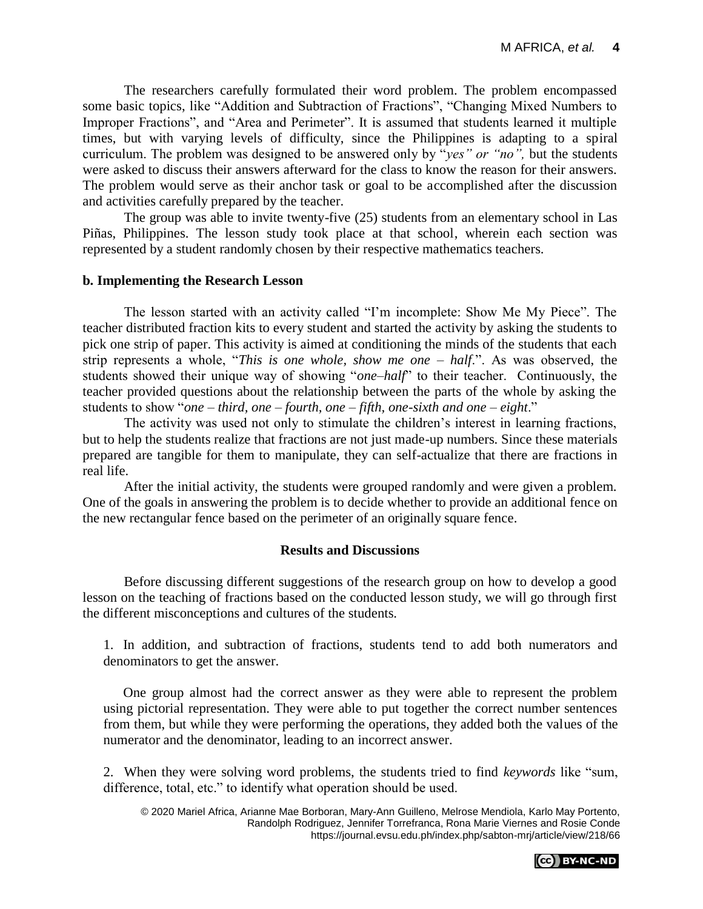The researchers carefully formulated their word problem. The problem encompassed some basic topics, like "Addition and Subtraction of Fractions", "Changing Mixed Numbers to Improper Fractions", and "Area and Perimeter". It is assumed that students learned it multiple times, but with varying levels of difficulty, since the Philippines is adapting to a spiral curriculum. The problem was designed to be answered only by "*yes" or "no",* but the students were asked to discuss their answers afterward for the class to know the reason for their answers. The problem would serve as their anchor task or goal to be accomplished after the discussion and activities carefully prepared by the teacher.

The group was able to invite twenty-five (25) students from an elementary school in Las Piñas, Philippines. The lesson study took place at that school, wherein each section was represented by a student randomly chosen by their respective mathematics teachers.

#### **b. Implementing the Research Lesson**

The lesson started with an activity called "I'm incomplete: Show Me My Piece". The teacher distributed fraction kits to every student and started the activity by asking the students to pick one strip of paper. This activity is aimed at conditioning the minds of the students that each strip represents a whole, "*This is one whole, show me one – half*.". As was observed, the students showed their unique way of showing "*one–half*" to their teacher. Continuously, the teacher provided questions about the relationship between the parts of the whole by asking the students to show "*one – third, one – fourth, one – fifth, one-sixth and one – eight*."

The activity was used not only to stimulate the children's interest in learning fractions, but to help the students realize that fractions are not just made-up numbers. Since these materials prepared are tangible for them to manipulate, they can self-actualize that there are fractions in real life.

After the initial activity, the students were grouped randomly and were given a problem. One of the goals in answering the problem is to decide whether to provide an additional fence on the new rectangular fence based on the perimeter of an originally square fence.

## **Results and Discussions**

Before discussing different suggestions of the research group on how to develop a good lesson on the teaching of fractions based on the conducted lesson study, we will go through first the different misconceptions and cultures of the students.

1. In addition, and subtraction of fractions, students tend to add both numerators and denominators to get the answer.

One group almost had the correct answer as they were able to represent the problem using pictorial representation. They were able to put together the correct number sentences from them, but while they were performing the operations, they added both the values of the numerator and the denominator, leading to an incorrect answer.

2. When they were solving word problems, the students tried to find *keywords* like "sum, difference, total, etc." to identify what operation should be used.

<sup>© 2020</sup> Mariel Africa, Arianne Mae Borboran, Mary-Ann Guilleno, Melrose Mendiola, Karlo May Portento, Randolph Rodriguez, Jennifer Torrefranca, Rona Marie Viernes and Rosie Conde https://journal.evsu.edu.ph/index.php/sabton-mrj/article/view/218/66

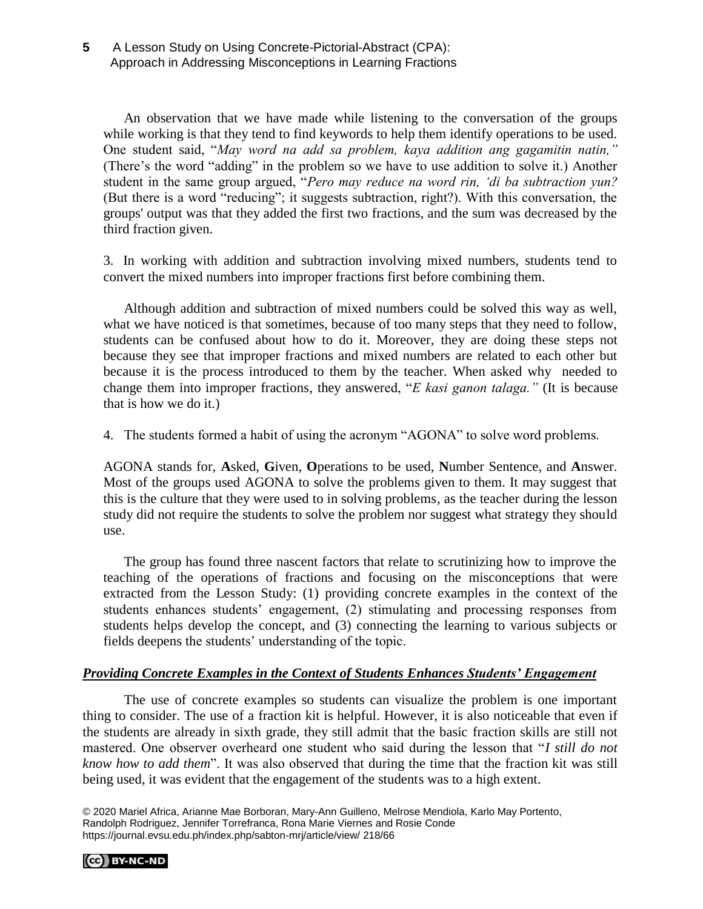An observation that we have made while listening to the conversation of the groups while working is that they tend to find keywords to help them identify operations to be used. One student said, "*May word na add sa problem, kaya addition ang gagamitin natin,"* (There's the word "adding" in the problem so we have to use addition to solve it.) Another student in the same group argued, "*Pero may reduce na word rin, 'di ba subtraction yun?*  (But there is a word "reducing"; it suggests subtraction, right?). With this conversation, the groups' output was that they added the first two fractions, and the sum was decreased by the third fraction given.

3. In working with addition and subtraction involving mixed numbers, students tend to convert the mixed numbers into improper fractions first before combining them.

Although addition and subtraction of mixed numbers could be solved this way as well, what we have noticed is that sometimes, because of too many steps that they need to follow, students can be confused about how to do it. Moreover, they are doing these steps not because they see that improper fractions and mixed numbers are related to each other but because it is the process introduced to them by the teacher. When asked why needed to change them into improper fractions, they answered, "*E kasi ganon talaga."* (It is because that is how we do it.)

4. The students formed a habit of using the acronym "AGONA" to solve word problems.

AGONA stands for, **A**sked, **G**iven, **O**perations to be used, **N**umber Sentence, and **A**nswer. Most of the groups used AGONA to solve the problems given to them. It may suggest that this is the culture that they were used to in solving problems, as the teacher during the lesson study did not require the students to solve the problem nor suggest what strategy they should use.

The group has found three nascent factors that relate to scrutinizing how to improve the teaching of the operations of fractions and focusing on the misconceptions that were extracted from the Lesson Study: (1) providing concrete examples in the context of the students enhances students' engagement, (2) stimulating and processing responses from students helps develop the concept, and (3) connecting the learning to various subjects or fields deepens the students' understanding of the topic.

## *Providing Concrete Examples in the Context of Students Enhances Students' Engagement*

The use of concrete examples so students can visualize the problem is one important thing to consider. The use of a fraction kit is helpful. However, it is also noticeable that even if the students are already in sixth grade, they still admit that the basic fraction skills are still not mastered. One observer overheard one student who said during the lesson that "*I still do not know how to add them*". It was also observed that during the time that the fraction kit was still being used, it was evident that the engagement of the students was to a high extent.

© 2020 Mariel Africa, Arianne Mae Borboran, Mary-Ann Guilleno, Melrose Mendiola, Karlo May Portento, Randolph Rodriguez, Jennifer Torrefranca, Rona Marie Viernes and Rosie Conde https://journal.evsu.edu.ph/index.php/sabton-mrj/article/view/ 218/66

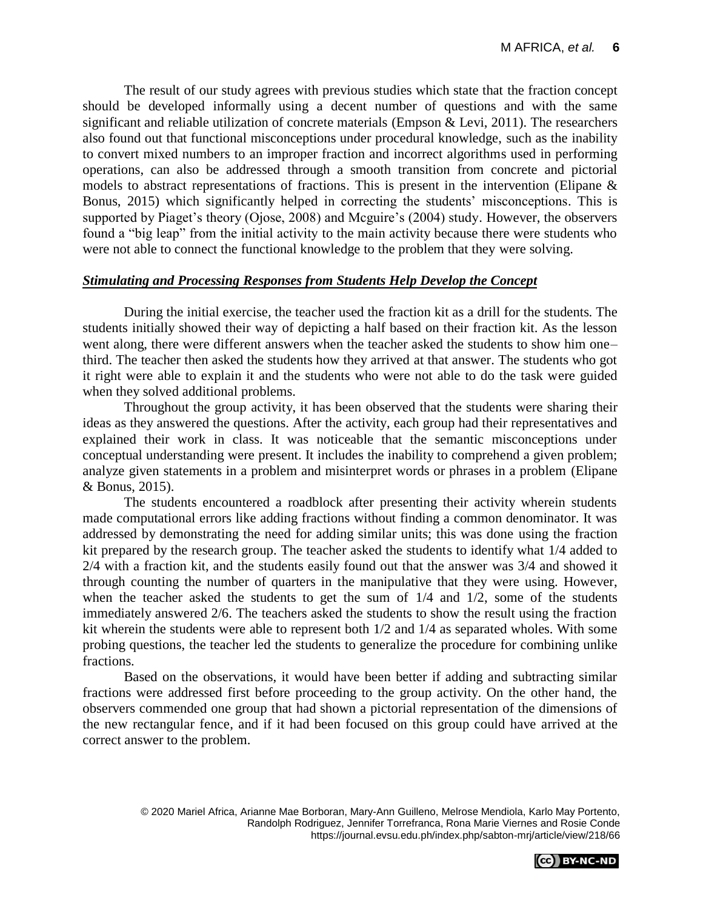The result of our study agrees with previous studies which state that the fraction concept should be developed informally using a decent number of questions and with the same significant and reliable utilization of concrete materials (Empson  $\&$  Levi, 2011). The researchers also found out that functional misconceptions under procedural knowledge, such as the inability to convert mixed numbers to an improper fraction and incorrect algorithms used in performing operations, can also be addressed through a smooth transition from concrete and pictorial models to abstract representations of fractions. This is present in the intervention (Elipane & Bonus, 2015) which significantly helped in correcting the students' misconceptions. This is supported by Piaget's theory (Ojose, 2008) and Mcguire's (2004) study. However, the observers found a "big leap" from the initial activity to the main activity because there were students who were not able to connect the functional knowledge to the problem that they were solving.

## *Stimulating and Processing Responses from Students Help Develop the Concept*

During the initial exercise, the teacher used the fraction kit as a drill for the students. The students initially showed their way of depicting a half based on their fraction kit. As the lesson went along, there were different answers when the teacher asked the students to show him one– third. The teacher then asked the students how they arrived at that answer. The students who got it right were able to explain it and the students who were not able to do the task were guided when they solved additional problems.

Throughout the group activity, it has been observed that the students were sharing their ideas as they answered the questions. After the activity, each group had their representatives and explained their work in class. It was noticeable that the semantic misconceptions under conceptual understanding were present. It includes the inability to comprehend a given problem; analyze given statements in a problem and misinterpret words or phrases in a problem (Elipane & Bonus, 2015).

The students encountered a roadblock after presenting their activity wherein students made computational errors like adding fractions without finding a common denominator. It was addressed by demonstrating the need for adding similar units; this was done using the fraction kit prepared by the research group. The teacher asked the students to identify what 1/4 added to 2/4 with a fraction kit, and the students easily found out that the answer was 3/4 and showed it through counting the number of quarters in the manipulative that they were using. However, when the teacher asked the students to get the sum of 1/4 and 1/2, some of the students immediately answered 2/6. The teachers asked the students to show the result using the fraction kit wherein the students were able to represent both 1/2 and 1/4 as separated wholes. With some probing questions, the teacher led the students to generalize the procedure for combining unlike fractions.

Based on the observations, it would have been better if adding and subtracting similar fractions were addressed first before proceeding to the group activity. On the other hand, the observers commended one group that had shown a pictorial representation of the dimensions of the new rectangular fence, and if it had been focused on this group could have arrived at the correct answer to the problem.

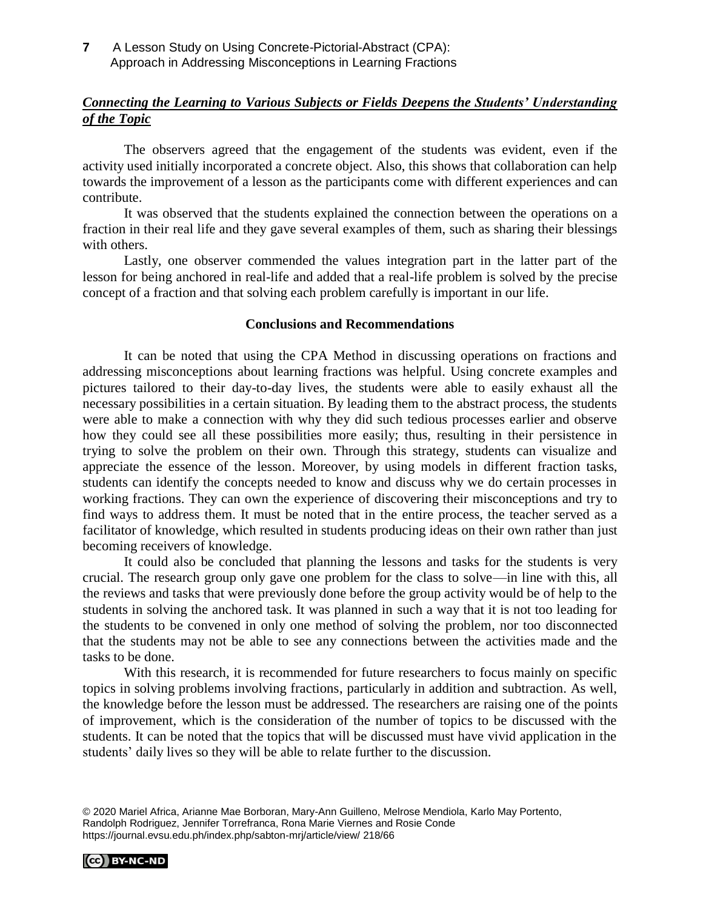**7** A Lesson Study on Using Concrete-Pictorial-Abstract (CPA): Approach in Addressing Misconceptions in Learning Fractions

# *Connecting the Learning to Various Subjects or Fields Deepens the Students' Understanding of the Topic*

The observers agreed that the engagement of the students was evident, even if the activity used initially incorporated a concrete object. Also, this shows that collaboration can help towards the improvement of a lesson as the participants come with different experiences and can contribute.

It was observed that the students explained the connection between the operations on a fraction in their real life and they gave several examples of them, such as sharing their blessings with others.

Lastly, one observer commended the values integration part in the latter part of the lesson for being anchored in real-life and added that a real-life problem is solved by the precise concept of a fraction and that solving each problem carefully is important in our life.

#### **Conclusions and Recommendations**

It can be noted that using the CPA Method in discussing operations on fractions and addressing misconceptions about learning fractions was helpful. Using concrete examples and pictures tailored to their day-to-day lives, the students were able to easily exhaust all the necessary possibilities in a certain situation. By leading them to the abstract process, the students were able to make a connection with why they did such tedious processes earlier and observe how they could see all these possibilities more easily; thus, resulting in their persistence in trying to solve the problem on their own. Through this strategy, students can visualize and appreciate the essence of the lesson. Moreover, by using models in different fraction tasks, students can identify the concepts needed to know and discuss why we do certain processes in working fractions. They can own the experience of discovering their misconceptions and try to find ways to address them. It must be noted that in the entire process, the teacher served as a facilitator of knowledge, which resulted in students producing ideas on their own rather than just becoming receivers of knowledge.

It could also be concluded that planning the lessons and tasks for the students is very crucial. The research group only gave one problem for the class to solve—in line with this, all the reviews and tasks that were previously done before the group activity would be of help to the students in solving the anchored task. It was planned in such a way that it is not too leading for the students to be convened in only one method of solving the problem, nor too disconnected that the students may not be able to see any connections between the activities made and the tasks to be done.

With this research, it is recommended for future researchers to focus mainly on specific topics in solving problems involving fractions, particularly in addition and subtraction. As well, the knowledge before the lesson must be addressed. The researchers are raising one of the points of improvement, which is the consideration of the number of topics to be discussed with the students. It can be noted that the topics that will be discussed must have vivid application in the students' daily lives so they will be able to relate further to the discussion.

© 2020 Mariel Africa, Arianne Mae Borboran, Mary-Ann Guilleno, Melrose Mendiola, Karlo May Portento, Randolph Rodriguez, Jennifer Torrefranca, Rona Marie Viernes and Rosie Conde https://journal.evsu.edu.ph/index.php/sabton-mrj/article/view/ 218/66